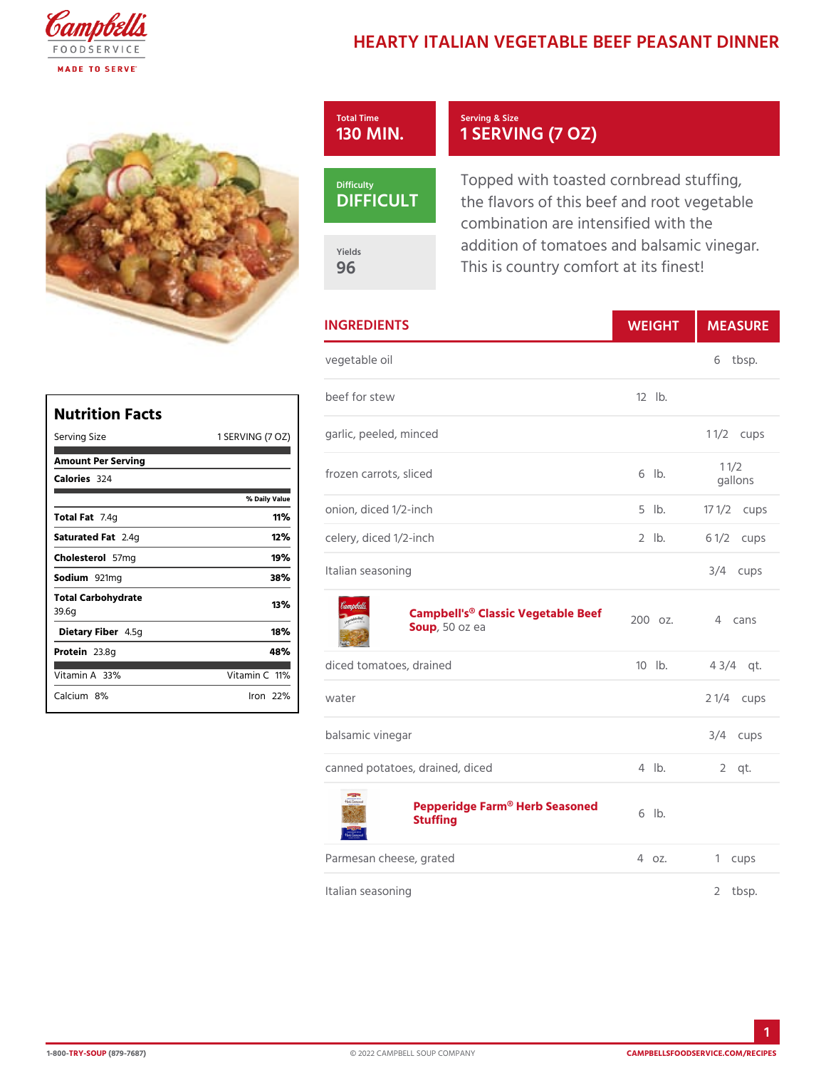## HEARTY ITALIAN VEGETABLE BEEF

| Total Time     | Serving & Size                                                                                           |
|----------------|----------------------------------------------------------------------------------------------------------|
| 130 MIN        | 1 SERVING (7 OZ)                                                                                         |
| Difficulty     | Topped with toasted cornbread                                                                            |
| <b>DIFFICU</b> | the flavors of this beef and roo                                                                         |
| Yields<br>96   | combination are intensified with<br>addition of tomatoes and balsar<br>This is country comfort at its fi |

|               | <b>INGREDIENTS</b>                                 |             | WEIGH MEASU          |
|---------------|----------------------------------------------------|-------------|----------------------|
| vegetable oil |                                                    |             | 6<br>tbsp.           |
| beef for stew |                                                    | $12$ $1b$ . |                      |
|               | (7 @ 20) rlic, peeled, minced                      |             | 1 $1/2$ ups          |
|               | frozen carrots, sliced                             | $6$ $ b$ .  | $1 \t1/2$<br>gallons |
| lue           | onion, diced 1/2-inch                              |             | 5 lb. 17 1/2ups      |
|               | celery, diced 1/2-inch                             | $2$ $1b$ .  | 6 $1/2c$ ups         |
|               | Italian seasoning                                  |             | $3/4$ cups           |
|               | Campbell's® Classic Vegetable Beet<br>Soup50 oz ea |             | cans                 |
|               | diced tomatoes, drained                            |             | 10 lb. 43/4 qt.      |
| water         |                                                    |             | 2 $1/4c$ ups         |
|               |                                                    |             |                      |
|               | balsamic vinegar                                   |             | $3/4$ cups           |

## [Pepperidge Farm® He](https://www.campbellsfoodservice.com/product/pepperidge-farm-herb-stuffing-mix-instant-preparation-vegetarian)rb Seasoned<br>Stuffing

| Parmesan cheese, grated | 4 oz. 1 cups |         |
|-------------------------|--------------|---------|
| Italian seasoning       |              | 2 tbsp. |

|                              | Nutrition Facts    |                |     | b e   |
|------------------------------|--------------------|----------------|-----|-------|
|                              |                    |                |     |       |
| Serving Size                 |                    | 1 SERVING      | (7) | Q1 29 |
|                              | Amount Per Serving |                |     |       |
| Calorie3s24                  |                    |                |     | f r o |
|                              |                    | % Daily Vallue |     |       |
| Total Fat4q                  |                    | 11% ነ          |     | o n   |
| Saturated 2F. altg           |                    | 12%            |     | c e   |
| $Choleste5\bar{\sigma}$ lm g |                    | 19%            |     |       |
| Sodium921mg                  |                    | 38%            |     | lta   |
| 39.6q                        | Total Carbohydrate | 13%            |     |       |
|                              | Dietary F4ib5egr   | 18%            |     |       |
| Protei <sub>23.8g</sub>      |                    | 48%            |     |       |
| Vitamin3A8%                  |                    | Vitamin1Cl%    |     | dio   |
| Calciu&n%                    |                    | lron 22 %      |     | w a   |
|                              |                    |                |     |       |

1